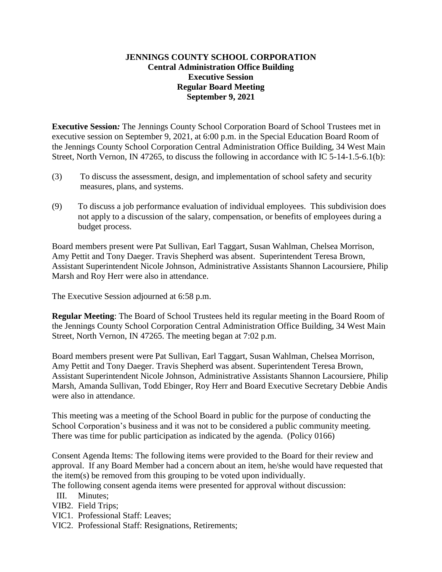### **JENNINGS COUNTY SCHOOL CORPORATION Central Administration Office Building Executive Session Regular Board Meeting September 9, 2021**

**Executive Session***:* The Jennings County School Corporation Board of School Trustees met in executive session on September 9, 2021, at 6:00 p.m. in the Special Education Board Room of the Jennings County School Corporation Central Administration Office Building, 34 West Main Street, North Vernon, IN 47265, to discuss the following in accordance with IC 5-14-1.5-6.1(b):

- (3) To discuss the assessment, design, and implementation of school safety and security measures, plans, and systems.
- (9) To discuss a job performance evaluation of individual employees. This subdivision does not apply to a discussion of the salary, compensation, or benefits of employees during a budget process.

Board members present were Pat Sullivan, Earl Taggart, Susan Wahlman, Chelsea Morrison, Amy Pettit and Tony Daeger. Travis Shepherd was absent. Superintendent Teresa Brown, Assistant Superintendent Nicole Johnson, Administrative Assistants Shannon Lacoursiere, Philip Marsh and Roy Herr were also in attendance.

The Executive Session adjourned at 6:58 p.m.

**Regular Meeting**: The Board of School Trustees held its regular meeting in the Board Room of the Jennings County School Corporation Central Administration Office Building, 34 West Main Street, North Vernon, IN 47265. The meeting began at 7:02 p.m.

Board members present were Pat Sullivan, Earl Taggart, Susan Wahlman, Chelsea Morrison, Amy Pettit and Tony Daeger. Travis Shepherd was absent. Superintendent Teresa Brown, Assistant Superintendent Nicole Johnson, Administrative Assistants Shannon Lacoursiere, Philip Marsh, Amanda Sullivan, Todd Ebinger, Roy Herr and Board Executive Secretary Debbie Andis were also in attendance.

This meeting was a meeting of the School Board in public for the purpose of conducting the School Corporation's business and it was not to be considered a public community meeting. There was time for public participation as indicated by the agenda. (Policy 0166)

Consent Agenda Items: The following items were provided to the Board for their review and approval. If any Board Member had a concern about an item, he/she would have requested that the item(s) be removed from this grouping to be voted upon individually.

The following consent agenda items were presented for approval without discussion:

- III. Minutes;
- VIB2. Field Trips;
- VIC1. Professional Staff: Leaves;
- VIC2. Professional Staff: Resignations, Retirements;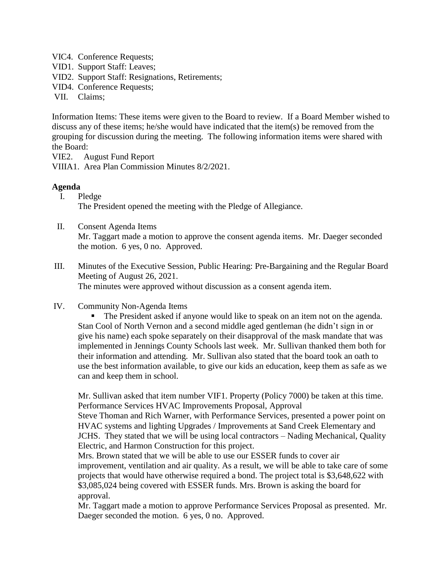- VIC4. Conference Requests;
- VID1. Support Staff: Leaves;
- VID2. Support Staff: Resignations, Retirements;
- VID4. Conference Requests;
- VII. Claims;

Information Items: These items were given to the Board to review. If a Board Member wished to discuss any of these items; he/she would have indicated that the item(s) be removed from the grouping for discussion during the meeting. The following information items were shared with the Board:

VIE2. August Fund Report

VIIIA1. Area Plan Commission Minutes 8/2/2021.

### **Agenda**

- I. Pledge The President opened the meeting with the Pledge of Allegiance.
- II. Consent Agenda Items

Mr. Taggart made a motion to approve the consent agenda items. Mr. Daeger seconded the motion. 6 yes, 0 no. Approved.

- III. Minutes of the Executive Session, Public Hearing: Pre-Bargaining and the Regular Board Meeting of August 26, 2021. The minutes were approved without discussion as a consent agenda item.
- IV. Community Non-Agenda Items

 The President asked if anyone would like to speak on an item not on the agenda. Stan Cool of North Vernon and a second middle aged gentleman (he didn't sign in or give his name) each spoke separately on their disapproval of the mask mandate that was implemented in Jennings County Schools last week. Mr. Sullivan thanked them both for their information and attending. Mr. Sullivan also stated that the board took an oath to use the best information available, to give our kids an education, keep them as safe as we can and keep them in school.

Mr. Sullivan asked that item number VIF1. Property (Policy 7000) be taken at this time. Performance Services HVAC Improvements Proposal, Approval

Steve Thoman and Rich Warner, with Performance Services, presented a power point on HVAC systems and lighting Upgrades / Improvements at Sand Creek Elementary and JCHS. They stated that we will be using local contractors – Nading Mechanical, Quality Electric, and Harmon Construction for this project.

Mrs. Brown stated that we will be able to use our ESSER funds to cover air improvement, ventilation and air quality. As a result, we will be able to take care of some projects that would have otherwise required a bond. The project total is \$3,648,622 with \$3,085,024 being covered with ESSER funds. Mrs. Brown is asking the board for approval.

Mr. Taggart made a motion to approve Performance Services Proposal as presented. Mr. Daeger seconded the motion. 6 yes, 0 no. Approved.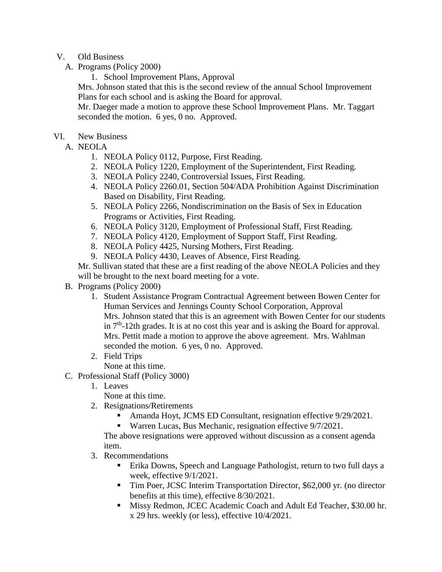### V. Old Business

- A. Programs (Policy 2000)
	- 1. School Improvement Plans, Approval

Mrs. Johnson stated that this is the second review of the annual School Improvement Plans for each school and is asking the Board for approval.

Mr. Daeger made a motion to approve these School Improvement Plans. Mr. Taggart seconded the motion. 6 yes, 0 no. Approved.

### VI. New Business

- A. NEOLA
	- 1. NEOLA Policy 0112, Purpose, First Reading.
	- 2. NEOLA Policy 1220, Employment of the Superintendent, First Reading.
	- 3. NEOLA Policy 2240, Controversial Issues, First Reading.
	- 4. NEOLA Policy 2260.01, Section 504/ADA Prohibition Against Discrimination Based on Disability, First Reading.
	- 5. NEOLA Policy 2266, Nondiscrimination on the Basis of Sex in Education Programs or Activities, First Reading.
	- 6. NEOLA Policy 3120, Employment of Professional Staff, First Reading.
	- 7. NEOLA Policy 4120, Employment of Support Staff, First Reading.
	- 8. NEOLA Policy 4425, Nursing Mothers, First Reading.
	- 9. NEOLA Policy 4430, Leaves of Absence, First Reading.

Mr. Sullivan stated that these are a first reading of the above NEOLA Policies and they will be brought to the next board meeting for a vote.

- B. Programs (Policy 2000)
	- 1. Student Assistance Program Contractual Agreement between Bowen Center for Human Services and Jennings County School Corporation, Approval Mrs. Johnson stated that this is an agreement with Bowen Center for our students in  $7<sup>th</sup>$ -12th grades. It is at no cost this year and is asking the Board for approval. Mrs. Pettit made a motion to approve the above agreement. Mrs. Wahlman seconded the motion. 6 yes, 0 no. Approved.
	- 2. Field Trips
		- None at this time.
- C. Professional Staff (Policy 3000)
	- 1. Leaves

None at this time.

- 2. Resignations/Retirements
	- Amanda Hoyt, JCMS ED Consultant, resignation effective 9/29/2021.
	- Warren Lucas, Bus Mechanic, resignation effective 9/7/2021.

The above resignations were approved without discussion as a consent agenda item.

- 3. Recommendations
	- Erika Downs, Speech and Language Pathologist, return to two full days a week, effective 9/1/2021.
	- Tim Poer, JCSC Interim Transportation Director, \$62,000 yr. (no director benefits at this time), effective 8/30/2021.
	- Missy Redmon, JCEC Academic Coach and Adult Ed Teacher, \$30.00 hr. x 29 hrs. weekly (or less), effective 10/4/2021.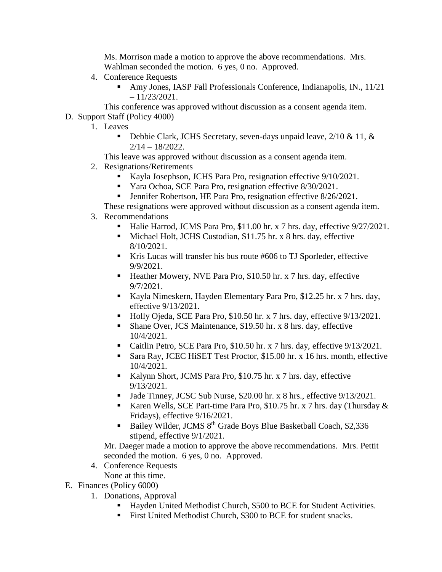Ms. Morrison made a motion to approve the above recommendations. Mrs. Wahlman seconded the motion. 6 yes, 0 no. Approved.

- 4. Conference Requests
	- Amy Jones, IASP Fall Professionals Conference, Indianapolis, IN., 11/21  $-11/23/2021$ .
- This conference was approved without discussion as a consent agenda item.
- D. Support Staff (Policy 4000)
	- 1. Leaves
		- Debbie Clark, JCHS Secretary, seven-days unpaid leave,  $2/10 \& 11$ ,  $\&$ 2/14 – 18/2022.

This leave was approved without discussion as a consent agenda item.

- 2. Resignations/Retirements
	- Kayla Josephson, JCHS Para Pro, resignation effective 9/10/2021.
	- **Yara Ochoa, SCE Para Pro, resignation effective 8/30/2021.**
	- **Jennifer Robertson, HE Para Pro, resignation effective 8/26/2021.**
	- These resignations were approved without discussion as a consent agenda item.
- 3. Recommendations
	- Halie Harrod, JCMS Para Pro, \$11.00 hr. x 7 hrs. day, effective  $9/27/2021$ .
	- Michael Holt, JCHS Custodian, \$11.75 hr. x 8 hrs. day, effective 8/10/2021.
	- Kris Lucas will transfer his bus route #606 to TJ Sporleder, effective 9/9/2021.
	- Heather Mowery, NVE Para Pro, \$10.50 hr. x 7 hrs. day, effective 9/7/2021.
	- Kayla Nimeskern, Hayden Elementary Para Pro, \$12.25 hr. x 7 hrs. day, effective 9/13/2021.
	- Holly Ojeda, SCE Para Pro, \$10.50 hr. x 7 hrs. day, effective 9/13/2021.
	- Shane Over, JCS Maintenance, \$19.50 hr. x 8 hrs. day, effective 10/4/2021.
	- Caitlin Petro, SCE Para Pro, \$10.50 hr. x 7 hrs. day, effective 9/13/2021.
	- Sara Ray, JCEC HiSET Test Proctor, \$15.00 hr. x 16 hrs. month, effective 10/4/2021.
	- Kalynn Short, JCMS Para Pro, \$10.75 hr. x 7 hrs. day, effective 9/13/2021.
	- I Jade Tinney, JCSC Sub Nurse, \$20.00 hr. x 8 hrs., effective 9/13/2021.
	- Karen Wells, SCE Part-time Para Pro, \$10.75 hr. x 7 hrs. day (Thursday  $\&$ Fridays), effective 9/16/2021.
	- Bailey Wilder, JCMS 8th Grade Boys Blue Basketball Coach, \$2,336 stipend, effective 9/1/2021.

Mr. Daeger made a motion to approve the above recommendations. Mrs. Pettit seconded the motion. 6 yes, 0 no. Approved.

- 4. Conference Requests
- None at this time.
- E. Finances (Policy 6000)
	- 1. Donations, Approval
		- Hayden United Methodist Church, \$500 to BCE for Student Activities.
		- First United Methodist Church, \$300 to BCE for student snacks.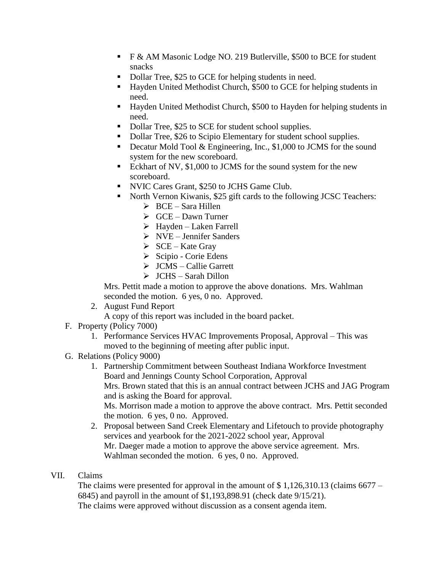- F & AM Masonic Lodge NO. 219 Butlerville, \$500 to BCE for student snacks
- Dollar Tree, \$25 to GCE for helping students in need.
- Hayden United Methodist Church, \$500 to GCE for helping students in need.
- Hayden United Methodist Church, \$500 to Hayden for helping students in need.
- Dollar Tree, \$25 to SCE for student school supplies.
- Dollar Tree, \$26 to Scipio Elementary for student school supplies.
- Decatur Mold Tool & Engineering, Inc., \$1,000 to JCMS for the sound system for the new scoreboard.
- Eckhart of NV, \$1,000 to JCMS for the sound system for the new scoreboard.
- NVIC Cares Grant, \$250 to JCHS Game Club.
- North Vernon Kiwanis, \$25 gift cards to the following JCSC Teachers:
	- $\triangleright$  BCE Sara Hillen
	- $\triangleright$  GCE Dawn Turner
	- $\triangleright$  Hayden Laken Farrell
	- $\triangleright$  NVE Jennifer Sanders
	- $\triangleright$  SCE Kate Gray
	- $\triangleright$  Scipio Corie Edens
	- JCMS Callie Garrett
	- $\triangleright$  JCHS Sarah Dillon

Mrs. Pettit made a motion to approve the above donations. Mrs. Wahlman seconded the motion. 6 yes, 0 no. Approved.

2. August Fund Report

A copy of this report was included in the board packet.

- F. Property (Policy 7000)
	- 1. Performance Services HVAC Improvements Proposal, Approval This was moved to the beginning of meeting after public input.
- G. Relations (Policy 9000)
	- 1. Partnership Commitment between Southeast Indiana Workforce Investment Board and Jennings County School Corporation, Approval Mrs. Brown stated that this is an annual contract between JCHS and JAG Program and is asking the Board for approval. Ms. Morrison made a motion to approve the above contract. Mrs. Pettit seconded the motion. 6 yes, 0 no. Approved.
	- 2. Proposal between Sand Creek Elementary and Lifetouch to provide photography services and yearbook for the 2021-2022 school year, Approval Mr. Daeger made a motion to approve the above service agreement. Mrs. Wahlman seconded the motion. 6 yes, 0 no. Approved.

# VII. Claims

The claims were presented for approval in the amount of  $\frac{1}{2}$ , 1,126,310.13 (claims 6677 – 6845) and payroll in the amount of \$1,193,898.91 (check date 9/15/21). The claims were approved without discussion as a consent agenda item.